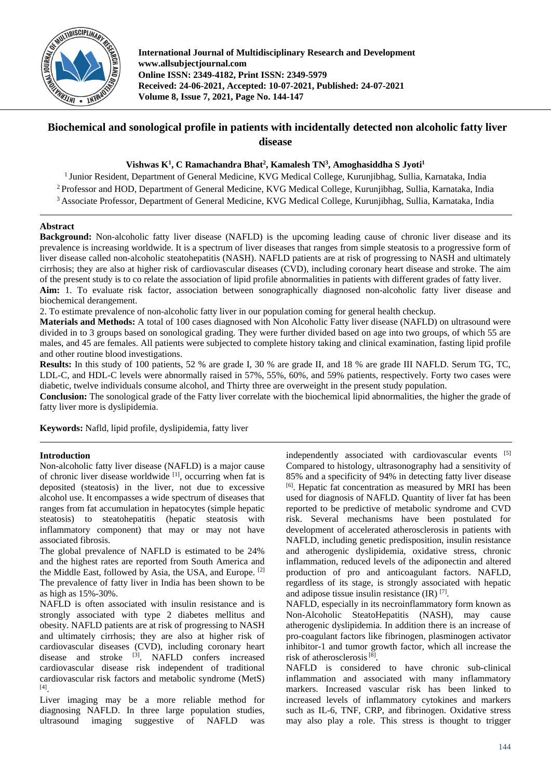

**International Journal of Multidisciplinary Research and Development www.allsubjectjournal.com Online ISSN: 2349-4182, Print ISSN: 2349-5979 Received: 24-06-2021, Accepted: 10-07-2021, Published: 24-07-2021 Volume 8, Issue 7, 2021, Page No. 144-147**

# **Biochemical and sonological profile in patients with incidentally detected non alcoholic fatty liver disease**

# **Vishwas K<sup>1</sup> , C Ramachandra Bhat<sup>2</sup> , Kamalesh TN<sup>3</sup> , Amoghasiddha S Jyoti<sup>1</sup>**

<sup>1</sup> Junior Resident, Department of General Medicine, KVG Medical College, Kurunjibhag, Sullia, Karnataka, India <sup>2</sup> Professor and HOD, Department of General Medicine, KVG Medical College, Kurunjibhag, Sullia, Karnataka, India

<sup>3</sup> Associate Professor, Department of General Medicine, KVG Medical College, Kurunjibhag, Sullia, Karnataka, India

# **Abstract**

**Background:** Non-alcoholic fatty liver disease (NAFLD) is the upcoming leading cause of chronic liver disease and its prevalence is increasing worldwide. It is a spectrum of liver diseases that ranges from simple steatosis to a progressive form of liver disease called non-alcoholic steatohepatitis (NASH). NAFLD patients are at risk of progressing to NASH and ultimately cirrhosis; they are also at higher risk of cardiovascular diseases (CVD), including coronary heart disease and stroke. The aim of the present study is to co relate the association of lipid profile abnormalities in patients with different grades of fatty liver. **Aim:** 1. To evaluate risk factor, association between sonographically diagnosed non-alcoholic fatty liver disease and biochemical derangement.

2. To estimate prevalence of non-alcoholic fatty liver in our population coming for general health checkup.

**Materials and Methods:** A total of 100 cases diagnosed with Non Alcoholic Fatty liver disease (NAFLD) on ultrasound were divided in to 3 groups based on sonological grading. They were further divided based on age into two groups, of which 55 are males, and 45 are females. All patients were subjected to complete history taking and clinical examination, fasting lipid profile and other routine blood investigations.

**Results:** In this study of 100 patients, 52 % are grade I, 30 % are grade II, and 18 % are grade III NAFLD. Serum TG, TC, LDL-C, and HDL-C levels were abnormally raised in 57%, 55%, 60%, and 59% patients, respectively. Forty two cases were diabetic, twelve individuals consume alcohol, and Thirty three are overweight in the present study population.

**Conclusion:** The sonological grade of the Fatty liver correlate with the biochemical lipid abnormalities, the higher the grade of fatty liver more is dyslipidemia.

**Keywords:** Nafld, lipid profile, dyslipidemia, fatty liver

## **Introduction**

Non-alcoholic fatty liver disease (NAFLD) is a major cause of chronic liver disease worldwide  $[1]$ , occurring when fat is deposited (steatosis) in the liver, not due to excessive alcohol use. It encompasses a wide spectrum of diseases that ranges from fat accumulation in hepatocytes (simple hepatic steatosis) to steatohepatitis (hepatic steatosis with inflammatory component) that may or may not have associated fibrosis.

The global prevalence of NAFLD is estimated to be 24% and the highest rates are reported from South America and the Middle East, followed by Asia, the USA, and Europe. [2] The prevalence of fatty liver in India has been shown to be as high as 15%-30%.

NAFLD is often associated with insulin resistance and is strongly associated with type 2 diabetes mellitus and obesity. NAFLD patients are at risk of progressing to NASH and ultimately cirrhosis; they are also at higher risk of cardiovascular diseases (CVD), including coronary heart disease and stroke <sup>[3]</sup>. NAFLD confers increased cardiovascular disease risk independent of traditional cardiovascular risk factors and metabolic syndrome (MetS) [4] .

Liver imaging may be a more reliable method for diagnosing NAFLD. In three large population studies, ultrasound imaging suggestive of NAFLD was

independently associated with cardiovascular events [5] Compared to histology, ultrasonography had a sensitivity of 85% and a specificity of 94% in detecting fatty liver disease [6] . Hepatic fat concentration as measured by MRI has been used for diagnosis of NAFLD. Quantity of liver fat has been reported to be predictive of metabolic syndrome and CVD risk. Several mechanisms have been postulated for development of accelerated atherosclerosis in patients with NAFLD, including genetic predisposition, insulin resistance and atherogenic dyslipidemia, oxidative stress, chronic inflammation, reduced levels of the adiponectin and altered production of pro and anticoagulant factors. NAFLD, regardless of its stage, is strongly associated with hepatic and adipose tissue insulin resistance  $(IR)$  [7].

NAFLD, especially in its necroinflammatory form known as Non-Alcoholic SteatoHepatitis (NASH), may cause atherogenic dyslipidemia. In addition there is an increase of pro-coagulant factors like fibrinogen, plasminogen activator inhibitor-1 and tumor growth factor, which all increase the risk of atherosclerosis<sup>[8]</sup>.

NAFLD is considered to have chronic sub-clinical inflammation and associated with many inflammatory markers. Increased vascular risk has been linked to increased levels of inflammatory cytokines and markers such as IL-6, TNF, CRP, and fibrinogen. Oxidative stress may also play a role. This stress is thought to trigger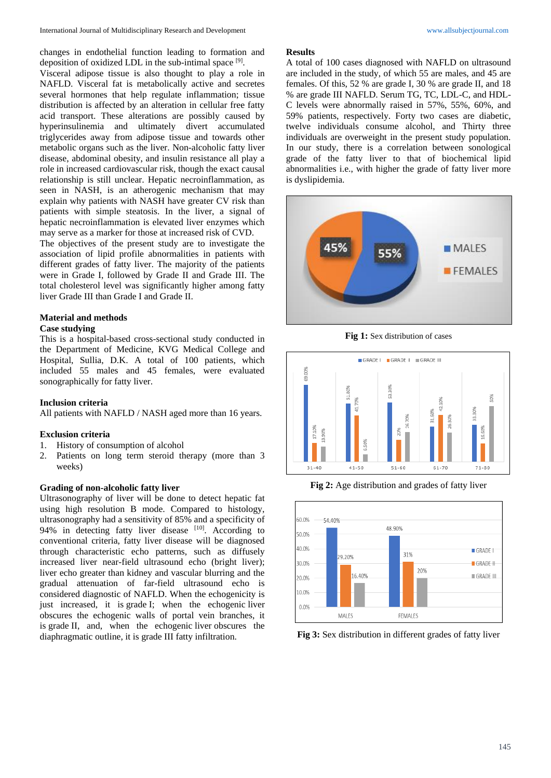changes in endothelial function leading to formation and deposition of oxidized LDL in the sub-intimal space [9].

Visceral adipose tissue is also thought to play a role in NAFLD. Visceral fat is metabolically active and secretes several hormones that help regulate inflammation; tissue distribution is affected by an alteration in cellular free fatty acid transport. These alterations are possibly caused by hyperinsulinemia and ultimately divert accumulated triglycerides away from adipose tissue and towards other metabolic organs such as the liver. Non-alcoholic fatty liver disease, abdominal obesity, and insulin resistance all play a role in increased cardiovascular risk, though the exact causal relationship is still unclear. Hepatic necroinflammation, as seen in NASH, is an atherogenic mechanism that may explain why patients with NASH have greater CV risk than patients with simple steatosis. In the liver, a signal of hepatic necroinflammation is elevated liver enzymes which may serve as a marker for those at increased risk of CVD.

The objectives of the present study are to investigate the association of lipid profile abnormalities in patients with different grades of fatty liver. The majority of the patients were in Grade I, followed by Grade II and Grade III. The total cholesterol level was significantly higher among fatty liver Grade III than Grade I and Grade II.

# **Material and methods**

#### **Case studying**

This is a hospital-based cross-sectional study conducted in the Department of Medicine, KVG Medical College and Hospital, Sullia, D.K. A total of 100 patients, which included 55 males and 45 females, were evaluated sonographically for fatty liver.

#### **Inclusion criteria**

All patients with NAFLD / NASH aged more than 16 years.

#### **Exclusion criteria**

- 1. History of consumption of alcohol
- 2. Patients on long term steroid therapy (more than 3 weeks)

## **Grading of non-alcoholic fatty liver**

Ultrasonography of liver will be done to detect hepatic fat using high resolution B mode. Compared to histology, ultrasonography had a sensitivity of 85% and a specificity of 94% in detecting fatty liver disease [10]. According to conventional criteria, fatty liver disease will be diagnosed through characteristic echo patterns, such as diffusely increased liver near-field ultrasound echo (bright liver); liver echo greater than kidney and vascular blurring and the gradual attenuation of far-field ultrasound echo is considered diagnostic of NAFLD. When the echogenicity is just increased, it is grade I; when the echogenic liver obscures the echogenic walls of portal vein branches, it is grade II, and, when the echogenic liver obscures the diaphragmatic outline, it is grade III fatty infiltration.

#### **Results**

A total of 100 cases diagnosed with NAFLD on ultrasound are included in the study, of which 55 are males, and 45 are females. Of this, 52 % are grade I, 30 % are grade II, and 18 % are grade III NAFLD. Serum TG, TC, LDL-C, and HDL-C levels were abnormally raised in 57%, 55%, 60%, and 59% patients, respectively. Forty two cases are diabetic, twelve individuals consume alcohol, and Thirty three individuals are overweight in the present study population. In our study, there is a correlation between sonological grade of the fatty liver to that of biochemical lipid abnormalities i.e., with higher the grade of fatty liver more is dyslipidemia.



**Fig 1:** Sex distribution of cases



**Fig 2:** Age distribution and grades of fatty liver



**Fig 3:** Sex distribution in different grades of fatty liver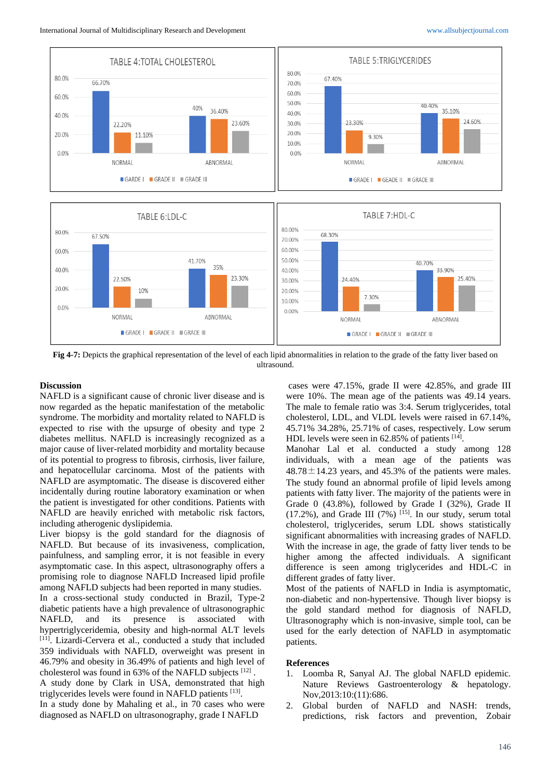

**Fig 4-7:** Depicts the graphical representation of the level of each lipid abnormalities in relation to the grade of the fatty liver based on ultrasound.

# **Discussion**

NAFLD is a significant cause of chronic liver disease and is now regarded as the hepatic manifestation of the metabolic syndrome. The morbidity and mortality related to NAFLD is expected to rise with the upsurge of obesity and type 2 diabetes mellitus. NAFLD is increasingly recognized as a major cause of liver-related morbidity and mortality because of its potential to progress to fibrosis, cirrhosis, liver failure, and hepatocellular carcinoma. Most of the patients with NAFLD are asymptomatic. The disease is discovered either incidentally during routine laboratory examination or when the patient is investigated for other conditions. Patients with NAFLD are heavily enriched with metabolic risk factors, including atherogenic dyslipidemia.

Liver biopsy is the gold standard for the diagnosis of NAFLD. But because of its invasiveness, complication, painfulness, and sampling error, it is not feasible in every asymptomatic case. In this aspect, ultrasonography offers a promising role to diagnose NAFLD Increased lipid profile among NAFLD subjects had been reported in many studies. In a cross-sectional study conducted in Brazil, Type-2 diabetic patients have a high prevalence of ultrasonographic NAFLD, and its presence is associated with hypertriglyceridemia, obesity and high-normal ALT levels [11]. Lizardi-Cervera et al., conducted a study that included 359 individuals with NAFLD, overweight was present in 46.79% and obesity in 36.49% of patients and high level of cholesterol was found in 63% of the NAFLD subjects [12]. A study done by Clark in USA, demonstrated that high

triglycerides levels were found in NAFLD patients [13].

In a study done by Mahaling et al., in 70 cases who were diagnosed as NAFLD on ultrasonography, grade I NAFLD

cases were 47.15%, grade II were 42.85%, and grade III were 10%. The mean age of the patients was 49.14 years. The male to female ratio was 3:4. Serum triglycerides, total cholesterol, LDL, and VLDL levels were raised in 67.14%, 45.71% 34.28%, 25.71% of cases, respectively. Low serum HDL levels were seen in 62.85% of patients [14].

Manohar Lal et al. conducted a study among 128 individuals, with a mean age of the patients was  $48.78 \pm 14.23$  years, and 45.3% of the patients were males. The study found an abnormal profile of lipid levels among patients with fatty liver. The majority of the patients were in Grade 0 (43.8%), followed by Grade I (32%), Grade II  $(17.2\%)$ , and Grade III  $(7\%)$  <sup>[15]</sup>. In our study, serum total cholesterol, triglycerides, serum LDL shows statistically significant abnormalities with increasing grades of NAFLD. With the increase in age, the grade of fatty liver tends to be higher among the affected individuals. A significant difference is seen among triglycerides and HDL-C in different grades of fatty liver.

Most of the patients of NAFLD in India is asymptomatic, non-diabetic and non-hypertensive. Though liver biopsy is the gold standard method for diagnosis of NAFLD, Ultrasonography which is non-invasive, simple tool, can be used for the early detection of NAFLD in asymptomatic patients.

#### **References**

- 1. Loomba R, Sanyal AJ. The global NAFLD epidemic. Nature Reviews Gastroenterology & hepatology. Nov,2013:10:(11):686.
- 2. Global burden of NAFLD and NASH: trends, predictions, risk factors and prevention, Zobair